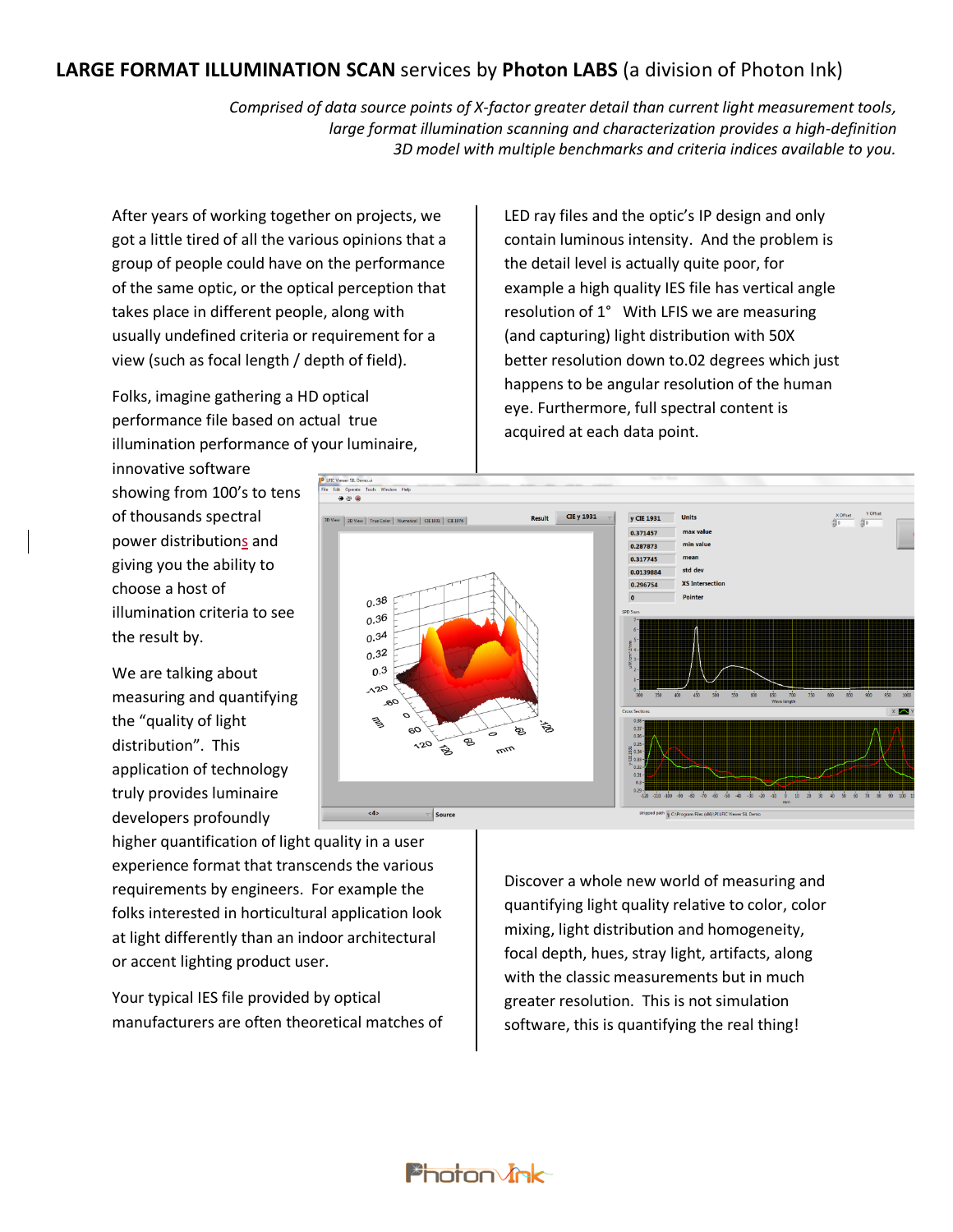## **LARGE FORMAT ILLUMINATION SCAN** services by **Photon LABS** (a division of Photon Ink)

*Comprised of data source points of X-factor greater detail than current light measurement tools, large format illumination scanning and characterization provides a high-definition 3D model with multiple benchmarks and criteria indices available to you.*

After years of working together on projects, we got a little tired of all the various opinions that a group of people could have on the performance of the same optic, or the optical perception that takes place in different people, along with usually undefined criteria or requirement for a view (such as focal length / depth of field).

Folks, imagine gathering a HD optical performance file based on actual true illumination performance of your luminaire,

innovative software showing from 100's to tens of thousands spectral power distributions and giving you the ability to choose a host of illumination criteria to see the result by.

We are talking about measuring and quantifying the "quality of light distribution". This application of technology truly provides luminaire developers profoundly

LED ray files and the optic's IP design and only contain luminous intensity. And the problem is the detail level is actually quite poor, for example a high quality IES file has vertical angle resolution of 1° With LFIS we are measuring (and capturing) light distribution with 50X better resolution down to.02 degrees which just happens to be angular resolution of the human eye. Furthermore, full spectral content is acquired at each data point.



higher quantification of light quality in a user experience format that transcends the various requirements by engineers. For example the folks interested in horticultural application look at light differently than an indoor architectural or accent lighting product user.

Your typical IES file provided by optical manufacturers are often theoretical matches of

**Photon Jok** 

Discover a whole new world of measuring and quantifying light quality relative to color, color mixing, light distribution and homogeneity, focal depth, hues, stray light, artifacts, along with the classic measurements but in much greater resolution. This is not simulation software, this is quantifying the real thing!